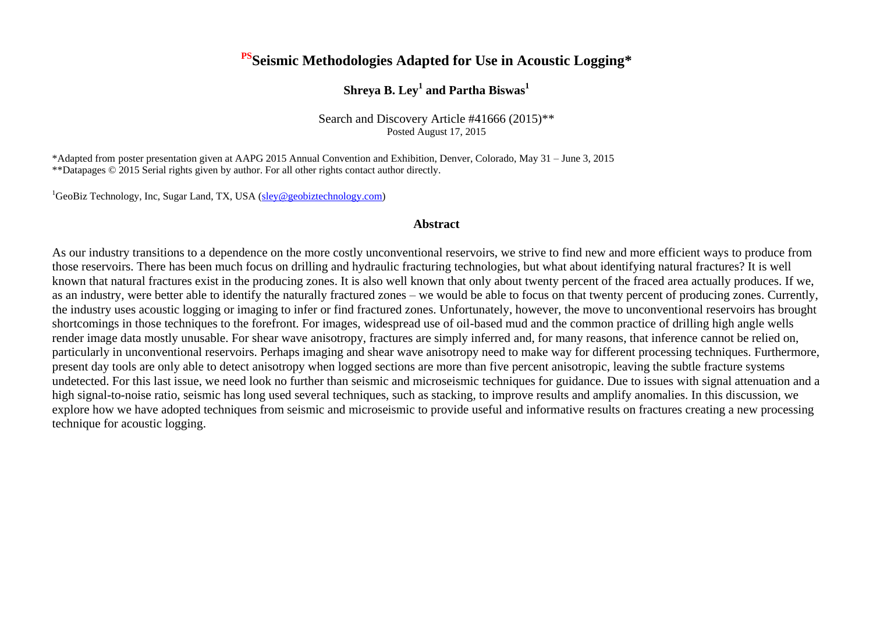# **PSSeismic Methodologies Adapted for Use in Acoustic Logging\***

## **Shreya B. Ley<sup>1</sup> and Partha Biswas<sup>1</sup>**

Search and Discovery Article #41666 (2015)\*\* Posted August 17, 2015

\*Adapted from poster presentation given at AAPG 2015 Annual Convention and Exhibition, Denver, Colorado, May 31 – June 3, 2015 \*\*Datapages © 2015 Serial rights given by author. For all other rights contact author directly.

 ${}^{1}$ GeoBiz Technology, Inc, Sugar Land, TX, USA [\(sley@geobiztechnology.com\)](mailto:sley@geobiztechnology.com)

### **Abstract**

As our industry transitions to a dependence on the more costly unconventional reservoirs, we strive to find new and more efficient ways to produce from those reservoirs. There has been much focus on drilling and hydraulic fracturing technologies, but what about identifying natural fractures? It is well known that natural fractures exist in the producing zones. It is also well known that only about twenty percent of the fraced area actually produces. If we, as an industry, were better able to identify the naturally fractured zones – we would be able to focus on that twenty percent of producing zones. Currently, the industry uses acoustic logging or imaging to infer or find fractured zones. Unfortunately, however, the move to unconventional reservoirs has brought shortcomings in those techniques to the forefront. For images, widespread use of oil-based mud and the common practice of drilling high angle wells render image data mostly unusable. For shear wave anisotropy, fractures are simply inferred and, for many reasons, that inference cannot be relied on, particularly in unconventional reservoirs. Perhaps imaging and shear wave anisotropy need to make way for different processing techniques. Furthermore, present day tools are only able to detect anisotropy when logged sections are more than five percent anisotropic, leaving the subtle fracture systems undetected. For this last issue, we need look no further than seismic and microseismic techniques for guidance. Due to issues with signal attenuation and a high signal-to-noise ratio, seismic has long used several techniques, such as stacking, to improve results and amplify anomalies. In this discussion, we explore how we have adopted techniques from seismic and microseismic to provide useful and informative results on fractures creating a new processing technique for acoustic logging.